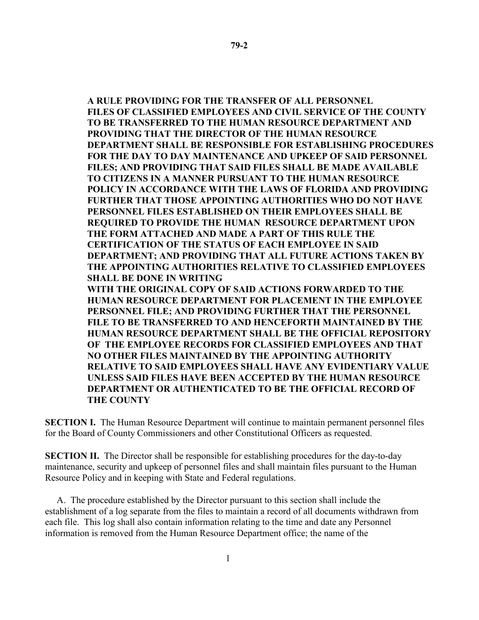**A RULE PROVIDING FOR THE TRANSFER OF ALL PERSONNEL FILES OF CLASSIFIED EMPLOYEES AND CIVIL SERVICE OF THE COUNTY TO BE TRANSFERRED TO THE HUMAN RESOURCE DEPARTMENT AND PROVIDING THAT THE DIRECTOR OF THE HUMAN RESOURCE DEPARTMENT SHALL BE RESPONSIBLE FOR ESTABLISHING PROCEDURES FOR THE DAY TO DAY MAINTENANCE AND UPKEEP OF SAID PERSONNEL FILES; AND PROVIDING THAT SAID FILES SHALL BE MADE AVAILABLE TO CITIZENS IN A MANNER PURSUANT TO THE HUMAN RESOURCE POLICY IN ACCORDANCE WITH THE LAWS OF FLORIDA AND PROVIDING FURTHER THAT THOSE APPOINTING AUTHORITIES WHO DO NOT HAVE PERSONNEL FILES ESTABLISHED ON THEIR EMPLOYEES SHALL BE REQUIRED TO PROVIDE THE HUMAN RESOURCE DEPARTMENT UPON THE FORM ATTACHED AND MADE A PART OF THIS RULE THE CERTIFICATION OF THE STATUS OF EACH EMPLOYEE IN SAID DEPARTMENT; AND PROVIDING THAT ALL FUTURE ACTIONS TAKEN BY THE APPOINTING AUTHORITIES RELATIVE TO CLASSIFIED EMPLOYEES SHALL BE DONE IN WRITING WITH THE ORIGINAL COPY OF SAID ACTIONS FORWARDED TO THE HUMAN RESOURCE DEPARTMENT FOR PLACEMENT IN THE EMPLOYEE PERSONNEL FILE; AND PROVIDING FURTHER THAT THE PERSONNEL FILE TO BE TRANSFERRED TO AND HENCEFORTH MAINTAINED BY THE HUMAN RESOURCE DEPARTMENT SHALL BE THE OFFICIAL REPOSITORY OF THE EMPLOYEE RECORDS FOR CLASSIFIED EMPLOYEES AND THAT NO OTHER FILES MAINTAINED BY THE APPOINTING AUTHORITY RELATIVE TO SAID EMPLOYEES SHALL HAVE ANY EVIDENTIARY VALUE UNLESS SAID FILES HAVE BEEN ACCEPTED BY THE HUMAN RESOURCE DEPARTMENT OR AUTHENTICATED TO BE THE OFFICIAL RECORD OF** 

**SECTION I.** The Human Resource Department will continue to maintain permanent personnel files for the Board of County Commissioners and other Constitutional Officers as requested.

**THE COUNTY**

**SECTION II.** The Director shall be responsible for establishing procedures for the day-to-day maintenance, security and upkeep of personnel files and shall maintain files pursuant to the Human Resource Policy and in keeping with State and Federal regulations.

 A. The procedure established by the Director pursuant to this section shall include the establishment of a log separate from the files to maintain a record of all documents withdrawn from each file. This log shall also contain information relating to the time and date any Personnel information is removed from the Human Resource Department office; the name of the

1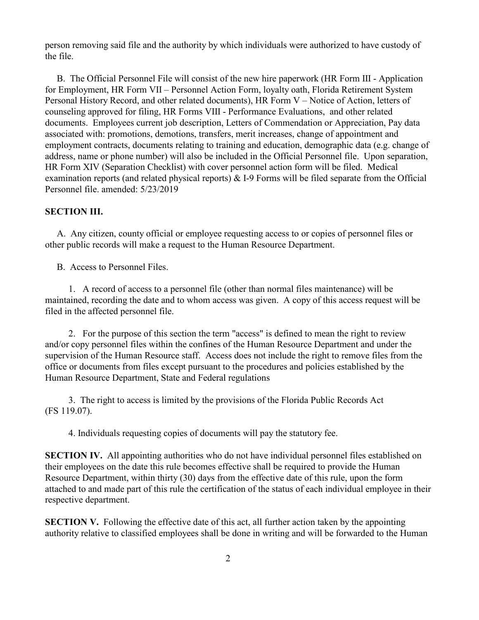person removing said file and the authority by which individuals were authorized to have custody of the file.

B. The Official Personnel File will consist of the new hire paperwork (HR Form III - Application for Employment, HR Form VII – Personnel Action Form, loyalty oath, Florida Retirement System Personal History Record, and other related documents), HR Form V – Notice of Action, letters of counseling approved for filing, HR Forms VIII - Performance Evaluations, and other related documents. Employees current job description, Letters of Commendation or Appreciation, Pay data associated with: promotions, demotions, transfers, merit increases, change of appointment and employment contracts, documents relating to training and education, demographic data (e.g. change of address, name or phone number) will also be included in the Official Personnel file. Upon separation, HR Form XIV (Separation Checklist) with cover personnel action form will be filed. Medical examination reports (and related physical reports) & I-9 Forms will be filed separate from the Official Personnel file. amended: 5/23/2019

## **SECTION III.**

 A. Any citizen, county official or employee requesting access to or copies of personnel files or other public records will make a request to the Human Resource Department.

B. Access to Personnel Files.

1. A record of access to a personnel file (other than normal files maintenance) will be maintained, recording the date and to whom access was given. A copy of this access request will be filed in the affected personnel file.

2. For the purpose of this section the term "access" is defined to mean the right to review and/or copy personnel files within the confines of the Human Resource Department and under the supervision of the Human Resource staff. Access does not include the right to remove files from the office or documents from files except pursuant to the procedures and policies established by the Human Resource Department, State and Federal regulations

 3. The right to access is limited by the provisions of the Florida Public Records Act (FS 119.07).

4. Individuals requesting copies of documents will pay the statutory fee.

**SECTION IV.** All appointing authorities who do not have individual personnel files established on their employees on the date this rule becomes effective shall be required to provide the Human Resource Department, within thirty (30) days from the effective date of this rule, upon the form attached to and made part of this rule the certification of the status of each individual employee in their respective department.

**SECTION V.** Following the effective date of this act, all further action taken by the appointing authority relative to classified employees shall be done in writing and will be forwarded to the Human